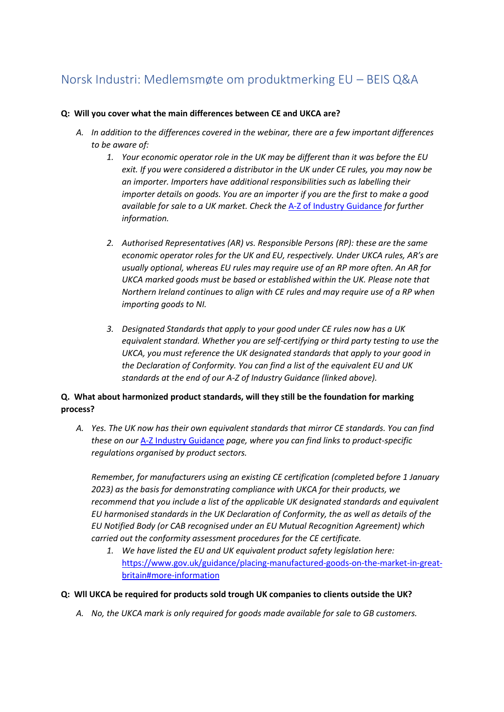# Norsk Industri: Medlemsmøte om produktmerking EU – BEIS Q&A

### **Q: Will you cover what the main differences between CE and UKCA are?**

- *A. In addition to the differences covered in the webinar, there are a few important differences to be aware of:*
	- *1. Your economic operator role in the UK may be different than it was before the EU exit. If you were considered a distributor in the UK under CE rules, you may now be an importer. Importers have additional responsibilities such as labelling their importer details on goods. You are an importer if you are the first to make a good available for sale to a UK market. Check the* A-Z of Industry Guidance *for further information.*
	- *2. Authorised Representatives (AR) vs. Responsible Persons (RP): these are the same economic operator roles for the UK and EU, respectively. Under UKCA rules, AR's are usually optional, whereas EU rules may require use of an RP more often. An AR for UKCA marked goods must be based or established within the UK. Please note that Northern Ireland continues to align with CE rules and may require use of a RP when importing goods to NI.*
	- *3. Designated Standards that apply to your good under CE rules now has a UK equivalent standard. Whether you are self-certifying or third party testing to use the UKCA, you must reference the UK designated standards that apply to your good in the Declaration of Conformity. You can find a list of the equivalent EU and UK standards at the end of our A-Z of Industry Guidance (linked above).*

## **Q. What about harmonized product standards, will they still be the foundation for marking process?**

*A. Yes. The UK now has their own equivalent standards that mirror CE standards. You can find these on our* A-Z Industry Guidance *page, where you can find links to product-specific regulations organised by product sectors.* 

*Remember, for manufacturers using an existing CE certification (completed before 1 January 2023) as the basis for demonstrating compliance with UKCA for their products, we recommend that you include a list of the applicable UK designated standards and equivalent EU harmonised standards in the UK Declaration of Conformity, the as well as details of the EU Notified Body (or CAB recognised under an EU Mutual Recognition Agreement) which carried out the conformity assessment procedures for the CE certificate.*

*1. We have listed the EU and UK equivalent product safety legislation here:*  https://www.gov.uk/guidance/placing-manufactured-goods-on-the-market-in-greatbritain#more-information

#### **Q: Wll UKCA be required for products sold trough UK companies to clients outside the UK?**

*A. No, the UKCA mark is only required for goods made available for sale to GB customers.*